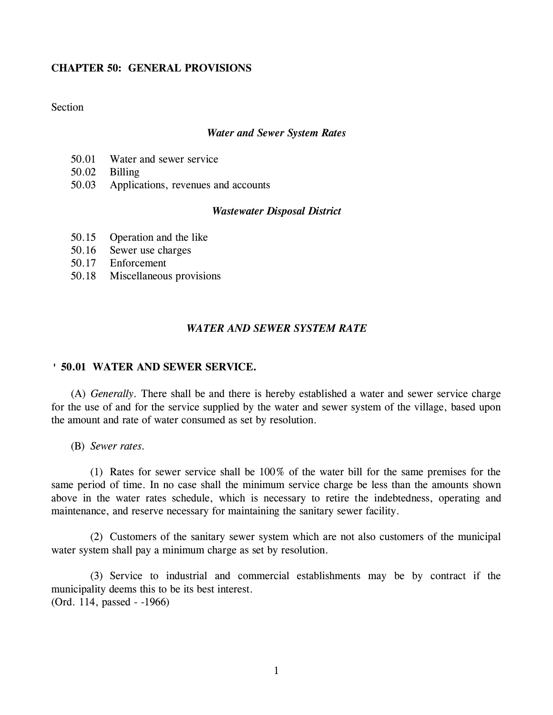# **CHAPTER 50: GENERAL PROVISIONS**

# **Section**

#### *Water and Sewer System Rates*

- 50.01 Water and sewer service
- 50.02 Billing
- 50.03 Applications, revenues and accounts

## *Wastewater Disposal District*

- 50.15 Operation and the like
- 50.16 Sewer use charges
- 50.17 Enforcement
- 50.18 Miscellaneous provisions

## *WATER AND SEWER SYSTEM RATE*

### **' 50.01 WATER AND SEWER SERVICE.**

(A) *Generally.* There shall be and there is hereby established a water and sewer service charge for the use of and for the service supplied by the water and sewer system of the village, based upon the amount and rate of water consumed as set by resolution.

(B) *Sewer rates.*

(1) Rates for sewer service shall be 100% of the water bill for the same premises for the same period of time. In no case shall the minimum service charge be less than the amounts shown above in the water rates schedule, which is necessary to retire the indebtedness, operating and maintenance, and reserve necessary for maintaining the sanitary sewer facility.

(2) Customers of the sanitary sewer system which are not also customers of the municipal water system shall pay a minimum charge as set by resolution.

(3) Service to industrial and commercial establishments may be by contract if the municipality deems this to be its best interest. (Ord. 114, passed - -1966)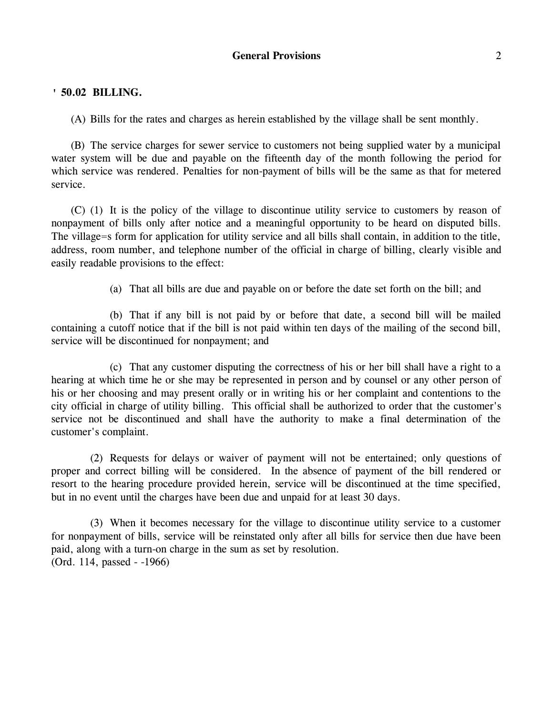## **' 50.02 BILLING.**

(A) Bills for the rates and charges as herein established by the village shall be sent monthly.

(B) The service charges for sewer service to customers not being supplied water by a municipal water system will be due and payable on the fifteenth day of the month following the period for which service was rendered. Penalties for non-payment of bills will be the same as that for metered service.

(C) (1) It is the policy of the village to discontinue utility service to customers by reason of nonpayment of bills only after notice and a meaningful opportunity to be heard on disputed bills. The village=s form for application for utility service and all bills shall contain, in addition to the title, address, room number, and telephone number of the official in charge of billing, clearly visible and easily readable provisions to the effect:

(a) That all bills are due and payable on or before the date set forth on the bill; and

(b) That if any bill is not paid by or before that date, a second bill will be mailed containing a cutoff notice that if the bill is not paid within ten days of the mailing of the second bill, service will be discontinued for nonpayment; and

(c) That any customer disputing the correctness of his or her bill shall have a right to a hearing at which time he or she may be represented in person and by counsel or any other person of his or her choosing and may present orally or in writing his or her complaint and contentions to the city official in charge of utility billing. This official shall be authorized to order that the customer's service not be discontinued and shall have the authority to make a final determination of the customer's complaint.

(2) Requests for delays or waiver of payment will not be entertained; only questions of proper and correct billing will be considered. In the absence of payment of the bill rendered or resort to the hearing procedure provided herein, service will be discontinued at the time specified, but in no event until the charges have been due and unpaid for at least 30 days.

(3) When it becomes necessary for the village to discontinue utility service to a customer for nonpayment of bills, service will be reinstated only after all bills for service then due have been paid, along with a turn-on charge in the sum as set by resolution. (Ord. 114, passed - -1966)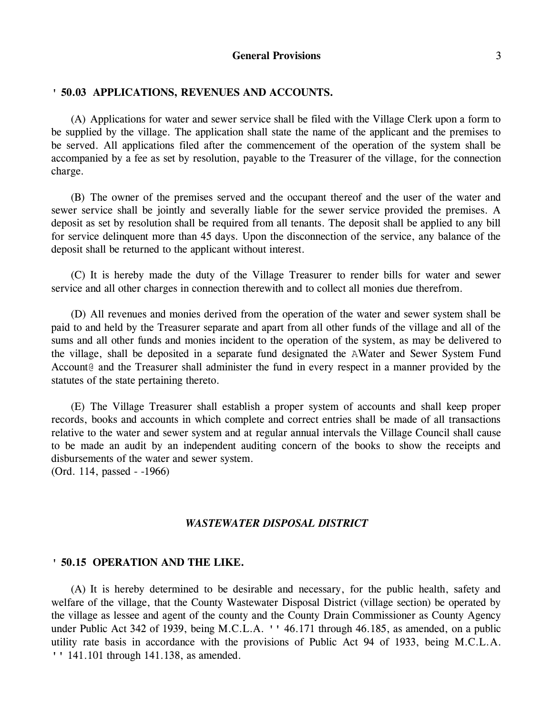## **' 50.03 APPLICATIONS, REVENUES AND ACCOUNTS.**

(A) Applications for water and sewer service shall be filed with the Village Clerk upon a form to be supplied by the village. The application shall state the name of the applicant and the premises to be served. All applications filed after the commencement of the operation of the system shall be accompanied by a fee as set by resolution, payable to the Treasurer of the village, for the connection charge.

(B) The owner of the premises served and the occupant thereof and the user of the water and sewer service shall be jointly and severally liable for the sewer service provided the premises. A deposit as set by resolution shall be required from all tenants. The deposit shall be applied to any bill for service delinquent more than 45 days. Upon the disconnection of the service, any balance of the deposit shall be returned to the applicant without interest.

(C) It is hereby made the duty of the Village Treasurer to render bills for water and sewer service and all other charges in connection therewith and to collect all monies due therefrom.

(D) All revenues and monies derived from the operation of the water and sewer system shall be paid to and held by the Treasurer separate and apart from all other funds of the village and all of the sums and all other funds and monies incident to the operation of the system, as may be delivered to the village, shall be deposited in a separate fund designated the AWater and Sewer System Fund Account@ and the Treasurer shall administer the fund in every respect in a manner provided by the statutes of the state pertaining thereto.

(E) The Village Treasurer shall establish a proper system of accounts and shall keep proper records, books and accounts in which complete and correct entries shall be made of all transactions relative to the water and sewer system and at regular annual intervals the Village Council shall cause to be made an audit by an independent auditing concern of the books to show the receipts and disbursements of the water and sewer system.

(Ord. 114, passed - -1966)

#### *WASTEWATER DISPOSAL DISTRICT*

### **' 50.15 OPERATION AND THE LIKE.**

(A) It is hereby determined to be desirable and necessary, for the public health, safety and welfare of the village, that the County Wastewater Disposal District (village section) be operated by the village as lessee and agent of the county and the County Drain Commissioner as County Agency under Public Act 342 of 1939, being M.C.L.A. '' 46.171 through 46.185, as amended, on a public utility rate basis in accordance with the provisions of Public Act 94 of 1933, being M.C.L.A. '' 141.101 through 141.138, as amended.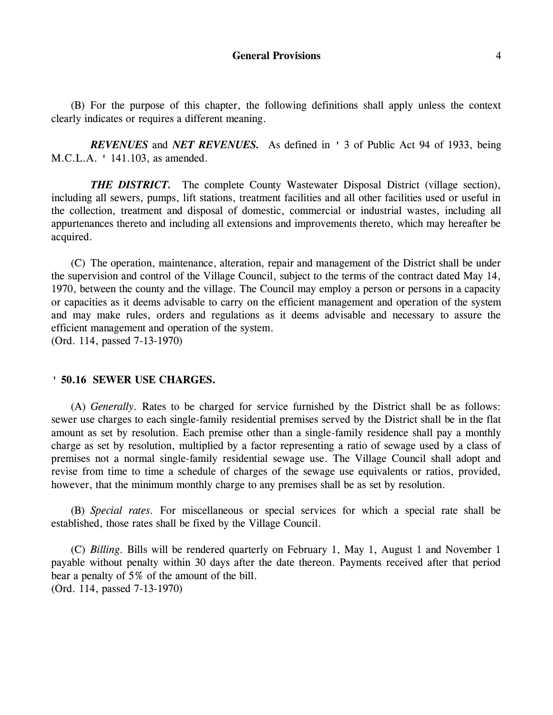(B) For the purpose of this chapter, the following definitions shall apply unless the context clearly indicates or requires a different meaning.

*REVENUES* and *NET REVENUES.* As defined in ' 3 of Public Act 94 of 1933, being M.C.L.A. ' 141.103, as amended.

*THE DISTRICT.* The complete County Wastewater Disposal District (village section), including all sewers, pumps, lift stations, treatment facilities and all other facilities used or useful in the collection, treatment and disposal of domestic, commercial or industrial wastes, including all appurtenances thereto and including all extensions and improvements thereto, which may hereafter be acquired.

(C) The operation, maintenance, alteration, repair and management of the District shall be under the supervision and control of the Village Council, subject to the terms of the contract dated May 14, 1970, between the county and the village. The Council may employ a person or persons in a capacity or capacities as it deems advisable to carry on the efficient management and operation of the system and may make rules, orders and regulations as it deems advisable and necessary to assure the efficient management and operation of the system.

(Ord. 114, passed 7-13-1970)

## **' 50.16 SEWER USE CHARGES.**

(A) *Generally.* Rates to be charged for service furnished by the District shall be as follows: sewer use charges to each single-family residential premises served by the District shall be in the flat amount as set by resolution. Each premise other than a single-family residence shall pay a monthly charge as set by resolution, multiplied by a factor representing a ratio of sewage used by a class of premises not a normal single-family residential sewage use. The Village Council shall adopt and revise from time to time a schedule of charges of the sewage use equivalents or ratios, provided, however, that the minimum monthly charge to any premises shall be as set by resolution.

(B) *Special rates.* For miscellaneous or special services for which a special rate shall be established, those rates shall be fixed by the Village Council.

(C) *Billing.* Bills will be rendered quarterly on February 1, May 1, August 1 and November 1 payable without penalty within 30 days after the date thereon. Payments received after that period bear a penalty of 5% of the amount of the bill. (Ord. 114, passed 7-13-1970)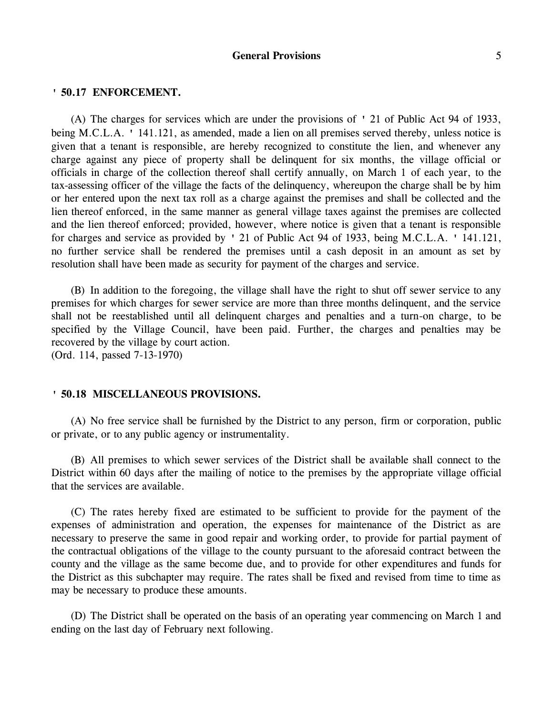### **' 50.17 ENFORCEMENT.**

(A) The charges for services which are under the provisions of ' 21 of Public Act 94 of 1933, being M.C.L.A. ' 141.121, as amended, made a lien on all premises served thereby, unless notice is given that a tenant is responsible, are hereby recognized to constitute the lien, and whenever any charge against any piece of property shall be delinquent for six months, the village official or officials in charge of the collection thereof shall certify annually, on March 1 of each year, to the tax-assessing officer of the village the facts of the delinquency, whereupon the charge shall be by him or her entered upon the next tax roll as a charge against the premises and shall be collected and the lien thereof enforced, in the same manner as general village taxes against the premises are collected and the lien thereof enforced; provided, however, where notice is given that a tenant is responsible for charges and service as provided by ' 21 of Public Act 94 of 1933, being M.C.L.A. ' 141.121, no further service shall be rendered the premises until a cash deposit in an amount as set by resolution shall have been made as security for payment of the charges and service.

(B) In addition to the foregoing, the village shall have the right to shut off sewer service to any premises for which charges for sewer service are more than three months delinquent, and the service shall not be reestablished until all delinquent charges and penalties and a turn-on charge, to be specified by the Village Council, have been paid. Further, the charges and penalties may be recovered by the village by court action. (Ord. 114, passed 7-13-1970)

### **' 50.18 MISCELLANEOUS PROVISIONS.**

(A) No free service shall be furnished by the District to any person, firm or corporation, public or private, or to any public agency or instrumentality.

(B) All premises to which sewer services of the District shall be available shall connect to the District within 60 days after the mailing of notice to the premises by the appropriate village official that the services are available.

(C) The rates hereby fixed are estimated to be sufficient to provide for the payment of the expenses of administration and operation, the expenses for maintenance of the District as are necessary to preserve the same in good repair and working order, to provide for partial payment of the contractual obligations of the village to the county pursuant to the aforesaid contract between the county and the village as the same become due, and to provide for other expenditures and funds for the District as this subchapter may require. The rates shall be fixed and revised from time to time as may be necessary to produce these amounts.

(D) The District shall be operated on the basis of an operating year commencing on March 1 and ending on the last day of February next following.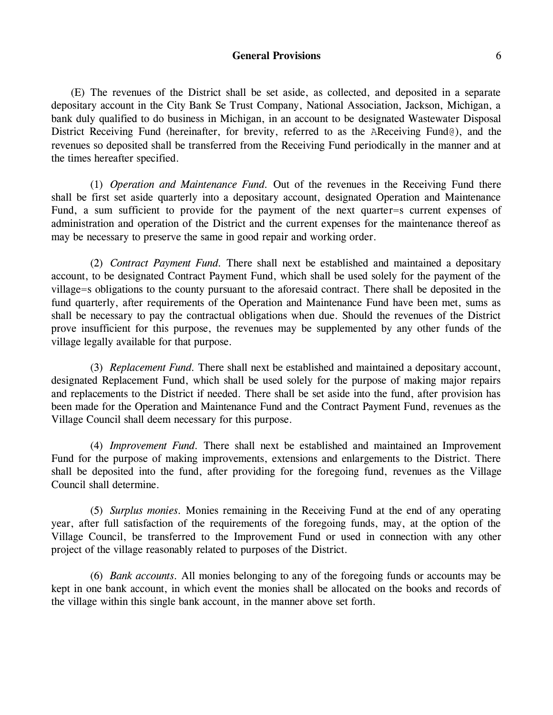(E) The revenues of the District shall be set aside, as collected, and deposited in a separate depositary account in the City Bank Se Trust Company, National Association, Jackson, Michigan, a bank duly qualified to do business in Michigan, in an account to be designated Wastewater Disposal District Receiving Fund (hereinafter, for brevity, referred to as the AReceiving Fund@), and the revenues so deposited shall be transferred from the Receiving Fund periodically in the manner and at the times hereafter specified.

(1) *Operation and Maintenance Fund.* Out of the revenues in the Receiving Fund there shall be first set aside quarterly into a depositary account, designated Operation and Maintenance Fund, a sum sufficient to provide for the payment of the next quarter=s current expenses of administration and operation of the District and the current expenses for the maintenance thereof as may be necessary to preserve the same in good repair and working order.

(2) *Contract Payment Fund.* There shall next be established and maintained a depositary account, to be designated Contract Payment Fund, which shall be used solely for the payment of the village=s obligations to the county pursuant to the aforesaid contract. There shall be deposited in the fund quarterly, after requirements of the Operation and Maintenance Fund have been met, sums as shall be necessary to pay the contractual obligations when due. Should the revenues of the District prove insufficient for this purpose, the revenues may be supplemented by any other funds of the village legally available for that purpose.

(3) *Replacement Fund.* There shall next be established and maintained a depositary account, designated Replacement Fund, which shall be used solely for the purpose of making major repairs and replacements to the District if needed. There shall be set aside into the fund, after provision has been made for the Operation and Maintenance Fund and the Contract Payment Fund, revenues as the Village Council shall deem necessary for this purpose.

(4) *Improvement Fund.* There shall next be established and maintained an Improvement Fund for the purpose of making improvements, extensions and enlargements to the District. There shall be deposited into the fund, after providing for the foregoing fund, revenues as the Village Council shall determine.

(5) *Surplus monies.* Monies remaining in the Receiving Fund at the end of any operating year, after full satisfaction of the requirements of the foregoing funds, may, at the option of the Village Council, be transferred to the Improvement Fund or used in connection with any other project of the village reasonably related to purposes of the District.

(6) *Bank accounts.* All monies belonging to any of the foregoing funds or accounts may be kept in one bank account, in which event the monies shall be allocated on the books and records of the village within this single bank account, in the manner above set forth.